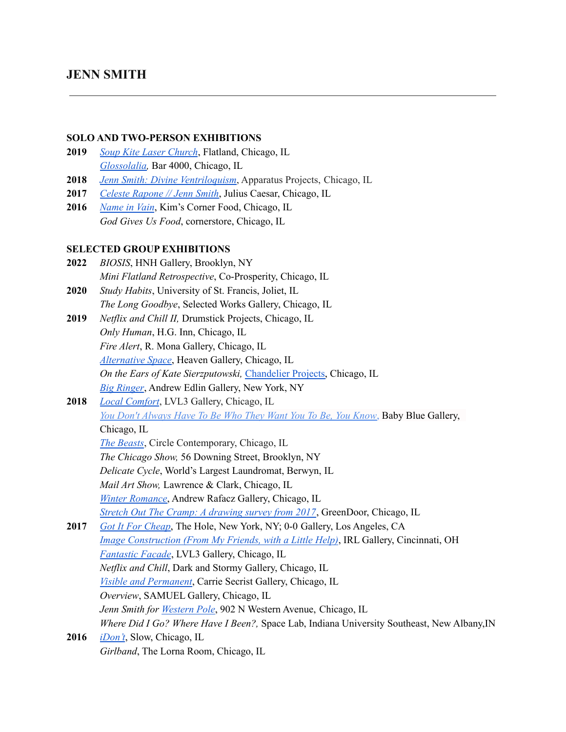# **JENN SMITH**

#### **SOLO AND TWO-PERSON EXHIBITIONS**

- **2019** *Soup Kite Laser [Church](http://flatland.online/index.php/archive/sklc/)*, Flatland, Chicago, IL *[Glossolalia,](https://bar4000.com/jenn-smith)* Bar 4000, Chicago, IL
- **2018** *Jenn Smith: Divine [Ventriloquism](https://www.apparatusprojects.com/exhibitions/divine-ventriloquism)*, Apparatus Projects, Chicago, IL
- **2017** *Celeste [Rapone](http://www.juliuscaesarchicago.net/celesteraponejennsmith) // Jenn Smith*, Julius Caesar, Chicago, IL
- **2016** *[Name](http://thomaskong.biz/thebackroom/) in Vain*, Kim's Corner Food, Chicago, IL *God Gives Us Food*, cornerstore, Chicago, IL

## **SELECTED GROUP EXHIBITIONS**

- **2022** *BIOSIS*, HNH Gallery, Brooklyn, NY *Mini Flatland Retrospective*, Co-Prosperity, Chicago, IL
- **2020** *Study Habits*, University of St. Francis, Joliet, IL *The Long Goodbye*, Selected Works Gallery, Chicago, IL
- **2019** *Netflix and Chill II,* Drumstick Projects, Chicago, IL *Only Human*, H.G. Inn, Chicago, IL *Fire Alert*, R. Mona Gallery, Chicago, IL *[Alternative](https://heavengallery.com/blog/alternative-space) Space*, Heaven Gallery, Chicago, IL *On the Ears of Kate Sierzputowski,* [Chandelier](https://www.instagram.com/___chandelier/) Projects, Chicago, IL
	- *Big [Ringer](https://www.edlingallery.com/exhibitions/big-ringer)*, Andrew Edlin Gallery, New York, NY
- **2018** *Local [Comfort](http://lvl3official.com/localcomfort/)*, LVL3 Gallery, Chicago, IL *You Don't [Always](https://www.facebook.com/events/1856914727749764/) Have To Be Who They Want You To Be, You Know*, Baby Blue Gallery, Chicago, IL

*The [Beasts](https://artsoflife.org/event/the-beasts/)*, Circle Contemporary, Chicago, IL

*The Chicago Show,* 56 Downing Street, Brooklyn, NY

*Delicate Cycle*, World's Largest Laundromat, Berwyn, IL

*Mail Art Show,* Lawrence & Clark, Chicago, IL

*Winter [Romance](http://andrewrafacz.com/exhibition.php?s_id=136)*, Andrew Rafacz Gallery, Chicago, IL

*Stretch Out The Cramp: A [drawing](https://www.facebook.com/events/360642824346063/) survey from 2017*, GreenDoor, Chicago, IL

- **2017** *Got It For [Cheap](https://www.gifc.art/)*, The Hole, New York, NY; 0-0 Gallery, Los Angeles, CA *Image [Construction](http://irl.gallery/irl-gallery) (From My Friends, with a Little Help)*, IRL Gallery, Cincinnati, OH *[Fantastic](http://lvl3media.com/fantastic-facade-2/#.WUQbwsmQyEK) Facade*, LVL3 Gallery, Chicago, IL *Netflix and Chill*, Dark and Stormy Gallery, Chicago, IL *Visible and [Permanent](http://www.secristgallery.com/exhibitions/2017/visible-and-permanent/)*, Carrie Secrist Gallery, Chicago, IL *Overview*, SAMUEL Gallery, Chicago, IL *Jenn Smith for [Western](http://westernpole.tumblr.com/) Pole*, 902 N Western Avenue, Chicago, IL *Where Did I Go? Where Have I Been?,* Space Lab, Indiana University Southeast, New Albany,IN
- **2016** *[iDon't](https://www.paul-is-slow.info/blog/2016/11/21/idont)*, Slow, Chicago, IL *Girlband*, The Lorna Room, Chicago, IL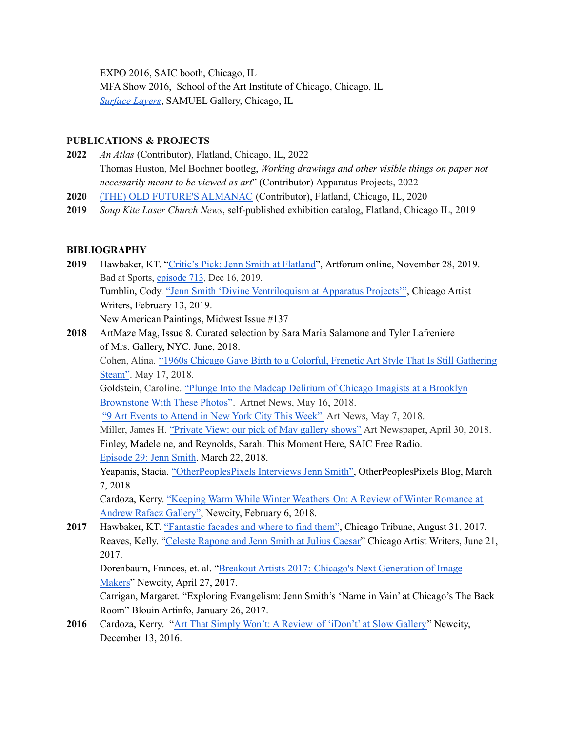EXPO 2016, SAIC booth, Chicago, IL

MFA Show 2016, School of the Art Institute of Chicago, Chicago, IL *[Surface](http://www.thevisualist.org/2016/04/surface-layers/) Layers*, SAMUEL Gallery, Chicago, IL

### **PUBLICATIONS & PROJECTS**

- **2022** *An Atlas* (Contributor), Flatland, Chicago, IL, 2022 Thomas Huston, Mel Bochner bootleg, *Working drawings and other visible things on paper not necessarily meant to be viewed as art*" (Contributor) Apparatus Projects, 2022
- **2020** (THE) OLD FUTURE'S [ALMANAC](http://www.theotherchrisreeves.com/index.php/wordsnletters/the-old-futures-almanac/) (Contributor), Flatland, Chicago, IL, 2020
- **2019** *Soup Kite Laser Church News*, self-published exhibition catalog, Flatland, Chicago IL, 2019

## **BIBLIOGRAPHY**

- **2019** Hawbaker, KT. "Critic's Pick: Jenn Smith at [Flatland"](https://www.artforum.com/picks/jenn-smith-81430), Artforum online, November 28, 2019. Bad at Sports, [episode 713](http://badatsports.com/2019/episode-713-jenn-smith/), Dec 16, 2019. Tumblin, Cody. "Jenn Smith 'Divine [Ventriloquism](https://chicagoartistwriters.com/jenn-smith-divine-ventriloquism-at-apparatus-projects/) at Apparatus Projects'", Chicago Artist Writers, February 13, 2019. New American Paintings, Midwest Issue #137
- **2018** ArtMaze Mag, Issue 8. Curated selection by Sara Maria Salamone and Tyler Lafreniere of Mrs. Gallery, NYC. June, 2018.

Cohen, Alina. "1960s Chicago Gave Birth to a Colorful, Frenetic Art Style That Is Still [Gathering](https://www.artsy.net/article/artsy-editorial-1960s-chicago-birth-colorful-frenetic-art-style-gathering-steam) [Steam"](https://www.artsy.net/article/artsy-editorial-1960s-chicago-birth-colorful-frenetic-art-style-gathering-steam). May 17, 2018.

[Goldstein,](https://news.artnet.com/about/caroline-goldstein-596) Caroline. "Plunge Into the Madcap Delirium of Chicago Imagists at a [Brooklyn](https://news.artnet.com/exhibitions/chicago-imagists-brooklyn-1286918) [Brownstone](https://news.artnet.com/exhibitions/chicago-imagists-brooklyn-1286918) With These Photos". Artnet News, May 16, 2018.

"9 Art Events to [Attend](http://www.artnews.com/2018/05/07/9-art-events-attend-new-york-city-week-20/) in New York City This Week" Art News, May 7, 2018.

Miller, James H. ["Private](https://www.theartnewspaper.com/news/private-view-may-2018) View: our pick of May gallery shows" Art Newspaper, April 30, 2018. Finley, Madeleine, and Reynolds, Sarah. This Moment Here, SAIC Free Radio. [Episode](https://soundcloud.com/thismomenthere/show-twenty-nine-jenn-smith) 29: Jenn Smith. March 22, 2018.

Yeapanis, Stacia. ["OtherPeoplesPixels](http://blog.otherpeoplespixels.com/otherpeoplespixels-interviews-jenn-smith) Interviews Jenn Smith", OtherPeoplesPixels Blog, March 7, 2018

Cardoza, Kerry. ["Keeping](https://art.newcity.com/2018/02/06/keeping-warm-while-winter-weathers-on-a-review-of-winter-romance-at-andrew-rafacz-gallery/) Warm While Winter Weathers On: A Review of Winter Romance at Andrew Rafacz [Gallery"](https://art.newcity.com/2018/02/06/keeping-warm-while-winter-weathers-on-a-review-of-winter-romance-at-andrew-rafacz-gallery/), Newcity, February 6, 2018.

**2017** Hawbaker, KT. ["Fantastic](http://www.chicagotribune.com/entertainment/museums/ct-ent-see-it-now-0831-story.html) facades and where to find them", Chicago Tribune, August 31, 2017. Reaves, Kelly. "Celeste [Rapone](http://chicagoartistwriters.com/celeste-rapone-and-jenn-smith-at-julius-caesar/) and Jenn Smith at Julius Caesar" Chicago Artist Writers, June 21, 2017.

Dorenbaum, Frances, et. al. "Breakout Artists 2017: Chicago's Next [Generation](http://art.newcity.com/2017/04/27/breakout-artists-2017/3/) of Image [Makers"](http://art.newcity.com/2017/04/27/breakout-artists-2017/3/) Newcity, April 27, 2017.

Carrigan, Margaret. "Exploring Evangelism: Jenn Smith's 'Name in Vain' at Chicago's The Back Room" Blouin Artinfo, January 26, 2017.

**2016** Cardoza, Kerry. "Art That Simply Won't: A Review of ['iDon't'](http://art.newcity.com/2016/12/13/art-that-simply-wont/) at Slow Gallery" Newcity, December 13, 2016.